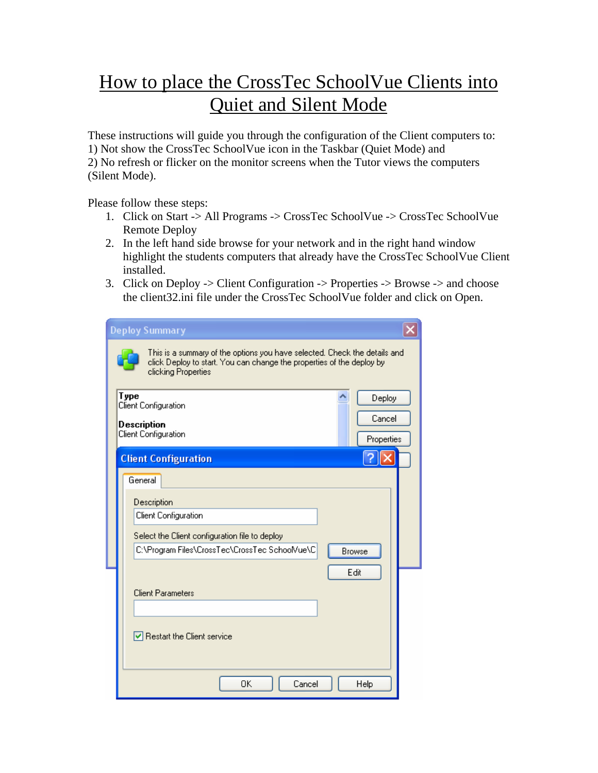## How to place the CrossTec SchoolVue Clients into Quiet and Silent Mode

These instructions will guide you through the configuration of the Client computers to:

1) Not show the CrossTec SchoolVue icon in the Taskbar (Quiet Mode) and

2) No refresh or flicker on the monitor screens when the Tutor views the computers (Silent Mode).

Please follow these steps:

- 1. Click on Start -> All Programs -> CrossTec SchoolVue -> CrossTec SchoolVue Remote Deploy
- 2. In the left hand side browse for your network and in the right hand window highlight the students computers that already have the CrossTec SchoolVue Client installed.
- 3. Click on Deploy -> Client Configuration -> Properties -> Browse -> and choose the client32.ini file under the CrossTec SchoolVue folder and click on Open.

| <b>Deploy Summary</b>                                                                                                                                                     |                      |
|---------------------------------------------------------------------------------------------------------------------------------------------------------------------------|----------------------|
| This is a summary of the options you have selected. Check the details and<br>click Deploy to start. You can change the properties of the deploy by<br>clicking Properties |                      |
| Type<br>Client Configuration                                                                                                                                              | Deploy               |
| Description<br>Client Configuration                                                                                                                                       | Cancel<br>Properties |
| <b>Client Configuration</b>                                                                                                                                               |                      |
| General                                                                                                                                                                   |                      |
| Description                                                                                                                                                               |                      |
| Client Configuration                                                                                                                                                      |                      |
| Select the Client configuration file to deploy                                                                                                                            |                      |
| C:\Program Files\CrossTec\CrossTec SchoolVue\C<br>Browse                                                                                                                  |                      |
| Edit                                                                                                                                                                      |                      |
| <b>Client Parameters</b>                                                                                                                                                  |                      |
|                                                                                                                                                                           |                      |
| $\triangleright$ Restart the Client service                                                                                                                               |                      |
|                                                                                                                                                                           |                      |
| 0K<br>Cancel<br>Help                                                                                                                                                      |                      |